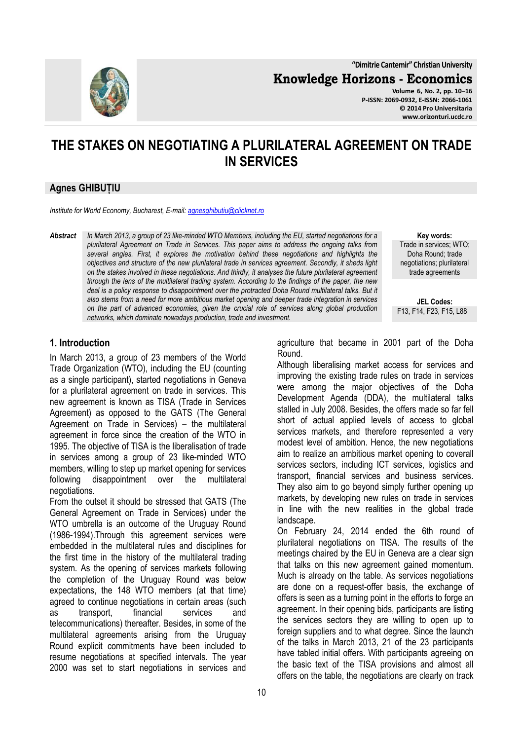**"Dimitrie Cantemir" Christian University**

**Knowledge Horizons - Economics**

**Volume 6, No. 2, pp. 10–16 P-ISSN: 2069-0932, E-ISSN: 2066-1061 © 2014 Pro Universitaria www.orizonturi.ucdc.ro**

# **THE STAKES ON NEGOTIATING A PLURILATERAL AGREEMENT ON TRADE IN SERVICES**

#### **Agnes GHIBUȚIU**

*Institute for World Economy, Bucharest, E-mail: agnesghibutiu@clicknet.ro*

*Abstract In March 2013, a group of 23 like-minded WTO Members, including the EU, started negotiations for a plurilateral Agreement on Trade in Services. This paper aims to address the ongoing talks from several angles. First, it explores the motivation behind these negotiations and highlights the objectives and structure of the new plurilateral trade in services agreement. Secondly, it sheds light on the stakes involved in these negotiations. And thirdly, it analyses the future plurilateral agreement through the lens of the multilateral trading system. According to the findings of the paper, the new*  deal is a policy response to disappointment over the protracted Doha Round multilateral talks. But it *also stems from a need for more ambitious market opening and deeper trade integration in services on the part of advanced economies, given the crucial role of services along global production networks, which dominate nowadays production, trade and investment.*

**Key words:** Trade in services; WTO; Doha Round; trade negotiations; plurilateral trade agreements

**JEL Codes:** F13, F14, F23, F15, L88

#### **1. Introduction**

In March 2013, a group of 23 members of the World Trade Organization (WTO), including the EU (counting as a single participant), started negotiations in Geneva for a plurilateral agreement on trade in services. This new agreement is known as TISA (Trade in Services Agreement) as opposed to the GATS (The General Agreement on Trade in Services) – the multilateral agreement in force since the creation of the WTO in 1995. The objective of TISA is the liberalisation of trade in services among a group of 23 like-minded WTO members, willing to step up market opening for services following disappointment over the multilateral negotiations.

From the outset it should be stressed that GATS (The General Agreement on Trade in Services) under the WTO umbrella is an outcome of the Uruguay Round (1986-1994).Through this agreement services were embedded in the multilateral rules and disciplines for the first time in the history of the multilateral trading system. As the opening of services markets following the completion of the Uruguay Round was below expectations, the 148 WTO members (at that time) agreed to continue negotiations in certain areas (such as transport, financial services and telecommunications) thereafter. Besides, in some of the multilateral agreements arising from the Uruguay Round explicit commitments have been included to resume negotiations at specified intervals. The year 2000 was set to start negotiations in services and

agriculture that became in 2001 part of the Doha Round.

Although liberalising market access for services and improving the existing trade rules on trade in services were among the major objectives of the Doha Development Agenda (DDA), the multilateral talks stalled in July 2008. Besides, the offers made so far fell short of actual applied levels of access to global services markets, and therefore represented a very modest level of ambition. Hence, the new negotiations aim to realize an ambitious market opening to coverall services sectors, including ICT services, logistics and transport, financial services and business services. They also aim to go beyond simply further opening up markets, by developing new rules on trade in services in line with the new realities in the global trade landscape.

On February 24, 2014 ended the 6th round of plurilateral negotiations on TISA. The results of the meetings chaired by the EU in Geneva are a clear sign that talks on this new agreement gained momentum. Much is already on the table. As services negotiations are done on a request-offer basis, the exchange of offers is seen as a turning point in the efforts to forge an agreement. In their opening bids, participants are listing the services sectors they are willing to open up to foreign suppliers and to what degree. Since the launch of the talks in March 2013, 21 of the 23 participants have tabled initial offers. With participants agreeing on the basic text of the TISA provisions and almost all offers on the table, the negotiations are clearly on track

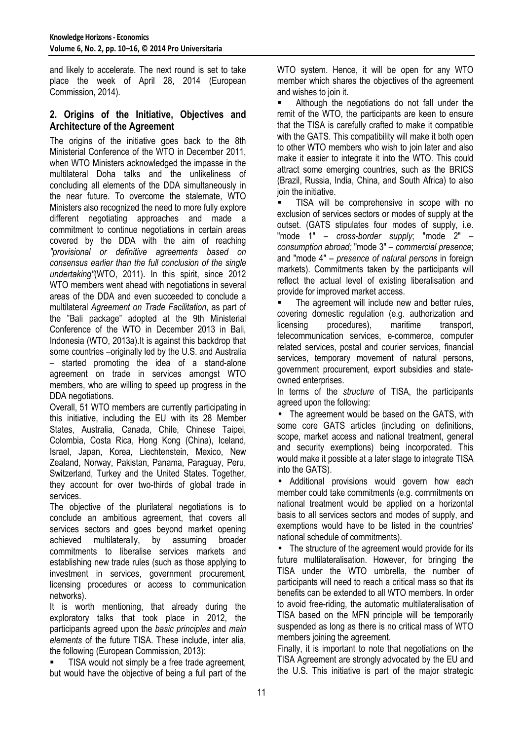and likely to accelerate. The next round is set to take place the week of April 28, 2014 (European Commission, 2014).

## **2. Origins of the Initiative, Objectives and Architecture of the Agreement**

The origins of the initiative goes back to the 8th Ministerial Conference of the WTO in December 2011, when WTO Ministers acknowledged the impasse in the multilateral Doha talks and the unlikeliness of concluding all elements of the DDA simultaneously in the near future. To overcome the stalemate, WTO Ministers also recognized the need to more fully explore different negotiating approaches and made a commitment to continue negotiations in certain areas covered by the DDA with the aim of reaching *"provisional or definitive agreements based on consensus earlier than the full conclusion of the single undertaking"*(WTO, 2011). In this spirit, since 2012 WTO members went ahead with negotiations in several areas of the DDA and even succeeded to conclude a multilateral *Agreement on Trade Facilitation*, as part of the "Bali package" adopted at the 9th Ministerial Conference of the WTO in December 2013 in Bali, Indonesia (WTO, 2013a).It is against this backdrop that some countries –originally led by the U.S. and Australia – started promoting the idea of a stand-alone agreement on trade in services amongst WTO members, who are willing to speed up progress in the DDA negotiations.

Overall, 51 WTO members are currently participating in this initiative, including the EU with its 28 Member States, Australia, Canada, Chile, Chinese Taipei, Colombia, Costa Rica, Hong Kong (China), Iceland, Israel, Japan, Korea, Liechtenstein, Mexico, New Zealand, Norway, Pakistan, Panama, Paraguay, Peru, Switzerland, Turkey and the United States. Together, they account for over two-thirds of global trade in services.

The objective of the plurilateral negotiations is to conclude an ambitious agreement, that covers all services sectors and goes beyond market opening achieved multilaterally, by assuming broader commitments to liberalise services markets and establishing new trade rules (such as those applying to investment in services, government procurement, licensing procedures or access to communication networks).

It is worth mentioning, that already during the exploratory talks that took place in 2012, the participants agreed upon the *basic principles* and *main elements* of the future TISA. These include, inter alia, the following (European Commission, 2013):

 TISA would not simply be a free trade agreement, but would have the objective of being a full part of the WTO system. Hence, it will be open for any WTO member which shares the objectives of the agreement and wishes to join it.

 Although the negotiations do not fall under the remit of the WTO, the participants are keen to ensure that the TISA is carefully crafted to make it compatible with the GATS. This compatibility will make it both open to other WTO members who wish to join later and also make it easier to integrate it into the WTO. This could attract some emerging countries, such as the BRICS (Brazil, Russia, India, China, and South Africa) to also join the initiative.

 TISA will be comprehensive in scope with no exclusion of services sectors or modes of supply at the outset. (GATS stipulates four modes of supply, i.e. "mode 1" – *cross-border supply*; "mode 2" – *consumption abroad;* "mode 3" – *commercial presence*; and "mode 4" – *presence of natural persons* in foreign markets). Commitments taken by the participants will reflect the actual level of existing liberalisation and provide for improved market access.

 The agreement will include new and better rules, covering domestic regulation (e.g. authorization and licensing procedures), maritime transport, telecommunication services, e-commerce, computer related services, postal and courier services, financial services, temporary movement of natural persons, government procurement, export subsidies and stateowned enterprises.

In terms of the *structure* of TISA, the participants aareed upon the following:

• The agreement would be based on the GATS, with some core GATS articles (including on definitions, scope, market access and national treatment, general and security exemptions) being incorporated. This would make it possible at a later stage to integrate TISA into the GATS).

• Additional provisions would govern how each member could take commitments (e.g. commitments on national treatment would be applied on a horizontal basis to all services sectors and modes of supply, and exemptions would have to be listed in the countries' national schedule of commitments).

• The structure of the agreement would provide for its future multilateralisation. However, for bringing the TISA under the WTO umbrella, the number of participants will need to reach a critical mass so that its benefits can be extended to all WTO members. In order to avoid free-riding, the automatic multilateralisation of TISA based on the MFN principle will be temporarily suspended as long as there is no critical mass of WTO members joining the agreement.

Finally, it is important to note that negotiations on the TISA Agreement are strongly advocated by the EU and the U.S. This initiative is part of the major strategic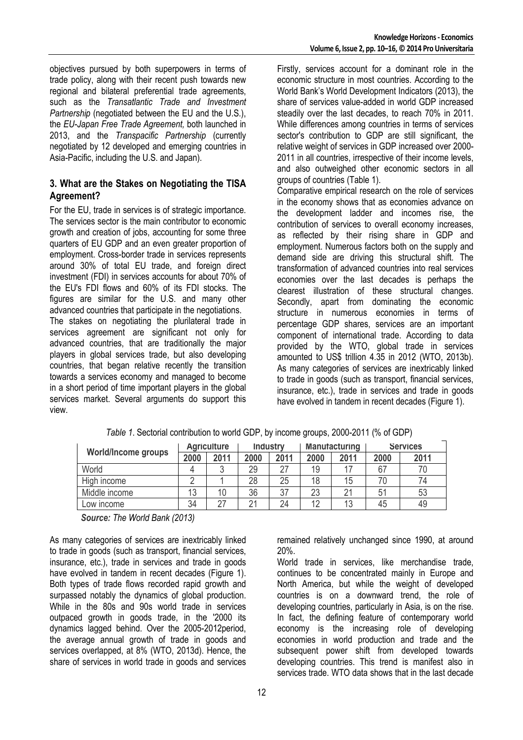objectives pursued by both superpowers in terms of trade policy, along with their recent push towards new regional and bilateral preferential trade agreements, such as the *Transatlantic Trade and Investment Partnership* (negotiated between the EU and the U.S.). the *EU-Japan Free Trade Agreement,* both launched in 2013, and the *Transpacific Partnership* (currently negotiated by 12 developed and emerging countries in Asia-Pacific, including the U.S. and Japan).

## **3. What are the Stakes on Negotiating the TISA Agreement?**

For the EU, trade in services is of strategic importance. The services sector is the main contributor to economic growth and creation of jobs, accounting for some three quarters of EU GDP and an even greater proportion of employment. Cross-border trade in services represents around 30% of total EU trade, and foreign direct investment (FDI) in services accounts for about 70% of the EU's FDI flows and 60% of its FDI stocks. The figures are similar for the U.S. and many other advanced countries that participate in the negotiations.

The stakes on negotiating the plurilateral trade in services agreement are significant not only for advanced countries, that are traditionally the major players in global services trade, but also developing countries, that began relative recently the transition towards a services economy and managed to become in a short period of time important players in the global services market. Several arguments do support this view.

Firstly, services account for a dominant role in the economic structure in most countries. According to the World Bank's World Development Indicators (2013), the share of services value-added in world GDP increased steadily over the last decades, to reach 70% in 2011. While differences among countries in terms of services sector's contribution to GDP are still significant, the relative weight of services in GDP increased over 2000- 2011 in all countries, irrespective of their income levels, and also outweighed other economic sectors in all groups of countries (Table 1).

Comparative empirical research on the role of services in the economy shows that as economies advance on the development ladder and incomes rise, the contribution of services to overall economy increases, as reflected by their rising share in GDP and employment. Numerous factors both on the supply and demand side are driving this structural shift. The transformation of advanced countries into real services economies over the last decades is perhaps the clearest illustration of these structural changes. Secondly, apart from dominating the economic structure in numerous economies in terms of percentage GDP shares, services are an important component of international trade. According to data provided by the WTO, global trade in services amounted to US\$ trillion 4.35 in 2012 (WTO, 2013b). As many categories of services are inextricably linked to trade in goods (such as transport, financial services, insurance, etc.), trade in services and trade in goods have evolved in tandem in recent decades (Figure 1).

| <b>World/Income groups</b> | <b>Agriculture</b> |      | <b>Industry</b> |      | <b>Manufacturing</b> |      | <b>Services</b> |      |
|----------------------------|--------------------|------|-----------------|------|----------------------|------|-----------------|------|
|                            | 2000               | 2011 | 2000            | 2011 | 2000                 | 2011 | 2000            | 2011 |
| World                      |                    | ົ    | 29              |      | 19                   |      |                 |      |
| High income                |                    |      | 28              | 25   | 18                   | 15   |                 | 74   |
| Middle income              | 13                 | 10   | 36              | 37   | 23                   | 21   | 51              | 53   |
| Low income                 | 34                 | 27   | $\Omega$        | 24   | 12                   | 13   | 45              | 49   |

*Table 1*. Sectorial contribution to world GDP, by income groups, 2000-2011 (% of GDP)

*Source: The World Bank (2013)*

As many categories of services are inextricably linked to trade in goods (such as transport, financial services, insurance, etc.), trade in services and trade in goods have evolved in tandem in recent decades (Figure 1). Both types of trade flows recorded rapid growth and surpassed notably the dynamics of global production. While in the 80s and 90s world trade in services outpaced growth in goods trade, in the '2000 its dynamics lagged behind. Over the 2005-2012period, the average annual growth of trade in goods and services overlapped, at 8% (WTO, 2013d). Hence, the share of services in world trade in goods and services

remained relatively unchanged since 1990, at around 20%.

World trade in services, like merchandise trade, continues to be concentrated mainly in Europe and North America, but while the weight of developed countries is on a downward trend, the role of developing countries, particularly in Asia, is on the rise. In fact, the defining feature of contemporary world economy is the increasing role of developing economies in world production and trade and the subsequent power shift from developed towards developing countries. This trend is manifest also in services trade. WTO data shows that in the last decade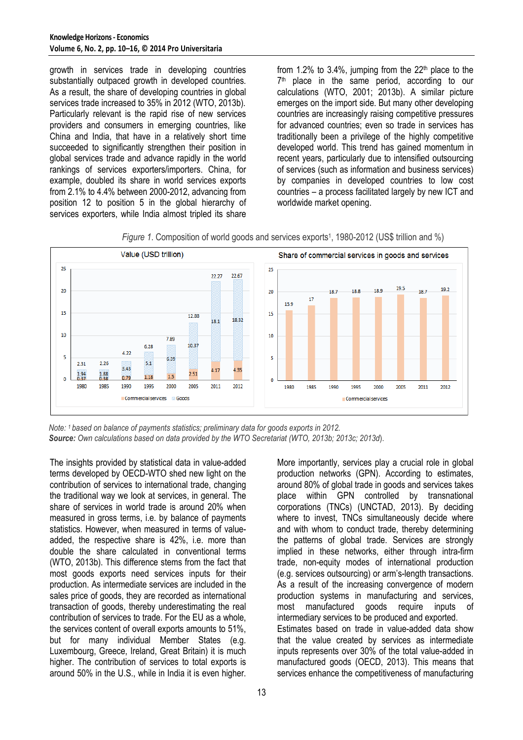growth in services trade in developing countries substantially outpaced growth in developed countries. As a result, the share of developing countries in global services trade increased to 35% in 2012 (WTO, 2013b). Particularly relevant is the rapid rise of new services providers and consumers in emerging countries, like China and India, that have in a relatively short time succeeded to significantly strengthen their position in global services trade and advance rapidly in the world rankings of services exporters/importers. China, for example, doubled its share in world services exports from 2.1% to 4.4% between 2000-2012, advancing from position 12 to position 5 in the global hierarchy of services exporters, while India almost tripled its share

from 1.2% to 3.4%, jumping from the  $22<sup>th</sup>$  place to the 7 th place in the same period, according to our calculations (WTO, 2001; 2013b). A similar picture emerges on the import side. But many other developing countries are increasingly raising competitive pressures for advanced countries; even so trade in services has traditionally been a privilege of the highly competitive developed world. This trend has gained momentum in recent years, particularly due to intensified outsourcing of services (such as information and business services) by companies in developed countries to low cost countries – a process facilitated largely by new ICT and worldwide market opening.





*Note: 1 based on balance of payments statistics; preliminary data for goods exports in 2012. Source: Own calculations based on data provided by the WTO Secretariat (WTO, 2013b; 2013c; 2013d*).

The insights provided by statistical data in value-added terms developed by OECD-WTO shed new light on the contribution of services to international trade, changing the traditional way we look at services, in general. The share of services in world trade is around 20% when measured in gross terms, i.e. by balance of payments statistics. However, when measured in terms of valueadded, the respective share is 42%, i.e. more than double the share calculated in conventional terms (WTO, 2013b). This difference stems from the fact that most goods exports need services inputs for their production. As intermediate services are included in the sales price of goods, they are recorded as international transaction of goods, thereby underestimating the real contribution of services to trade. For the EU as a whole, the services content of overall exports amounts to 51%, but for many individual Member States (e.g. Luxembourg, Greece, Ireland, Great Britain) it is much higher. The contribution of services to total exports is around 50% in the U.S., while in India it is even higher.

More importantly, services play a crucial role in global production networks (GPN). According to estimates, around 80% of global trade in goods and services takes place within GPN controlled by transnational corporations (TNCs) (UNCTAD, 2013). By deciding where to invest, TNCs simultaneously decide where and with whom to conduct trade, thereby determining the patterns of global trade. Services are strongly implied in these networks, either through intra-firm trade, non-equity modes of international production (e.g. services outsourcing) or arm's-length transactions. As a result of the increasing convergence of modern production systems in manufacturing and services, most manufactured goods require inputs of intermediary services to be produced and exported. Estimates based on trade in value-added data show that the value created by services as intermediate inputs represents over 30% of the total value-added in manufactured goods (OECD, 2013). This means that services enhance the competitiveness of manufacturing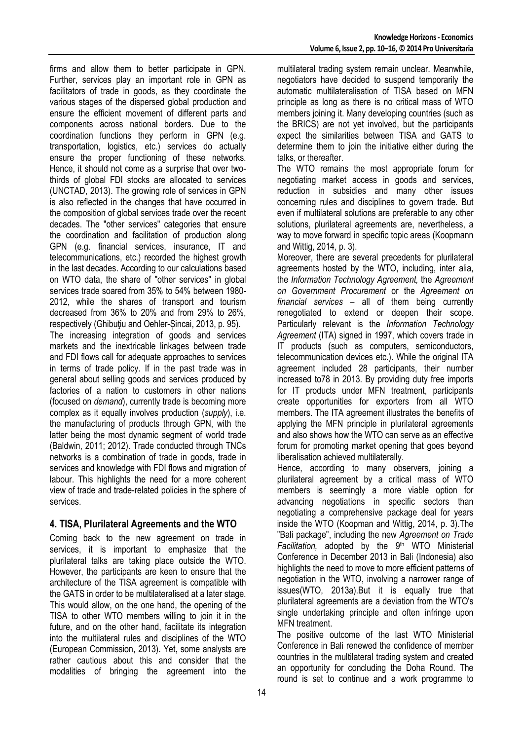firms and allow them to better participate in GPN. Further, services play an important role in GPN as facilitators of trade in goods, as they coordinate the various stages of the dispersed global production and ensure the efficient movement of different parts and components across national borders. Due to the coordination functions they perform in GPN (e.g. transportation, logistics, etc.) services do actually ensure the proper functioning of these networks. Hence, it should not come as a surprise that over twothirds of global FDI stocks are allocated to services (UNCTAD, 2013). The growing role of services in GPN is also reflected in the changes that have occurred in the composition of global services trade over the recent decades. The "other services" categories that ensure the coordination and facilitation of production along GPN (e.g. financial services, insurance, IT and telecommunications, etc.) recorded the highest growth in the last decades. According to our calculations based on WTO data, the share of "other services" in global services trade soared from 35% to 54% between 1980- 2012, while the shares of transport and tourism decreased from 36% to 20% and from 29% to 26%, respectively (Ghibuțiu and Oehler-Sincai, 2013, p. 95). The increasing integration of goods and services markets and the inextricable linkages between trade and FDI flows call for adequate approaches to services in terms of trade policy. If in the past trade was in general about selling goods and services produced by factories of a nation to customers in other nations (focused on *demand*), currently trade is becoming more complex as it equally involves production (*supply*), i.e. the manufacturing of products through GPN, with the latter being the most dynamic segment of world trade (Baldwin, 2011; 2012). Trade conducted through TNCs networks is a combination of trade in goods, trade in services and knowledge with FDI flows and migration of labour. This highlights the need for a more coherent

## **4. TISA, Plurilateral Agreements and the WTO**

services.

view of trade and trade-related policies in the sphere of

Coming back to the new agreement on trade in services, it is important to emphasize that the plurilateral talks are taking place outside the WTO. However, the participants are keen to ensure that the architecture of the TISA agreement is compatible with the GATS in order to be multilateralised at a later stage. This would allow, on the one hand, the opening of the TISA to other WTO members willing to join it in the future, and on the other hand, facilitate its integration into the multilateral rules and disciplines of the WTO (European Commission, 2013). Yet, some analysts are rather cautious about this and consider that the modalities of bringing the agreement into the

multilateral trading system remain unclear. Meanwhile, negotiators have decided to suspend temporarily the automatic multilateralisation of TISA based on MFN principle as long as there is no critical mass of WTO members joining it. Many developing countries (such as the BRICS) are not yet involved, but the participants expect the similarities between TISA and GATS to determine them to join the initiative either during the talks, or thereafter.

The WTO remains the most appropriate forum for negotiating market access in goods and services, reduction in subsidies and many other issues concerning rules and disciplines to govern trade. But even if multilateral solutions are preferable to any other solutions, plurilateral agreements are, nevertheless, a way to move forward in specific topic areas (Koopmann and Wittig, 2014, p. 3).

Moreover, there are several precedents for plurilateral agreements hosted by the WTO, including, inter alia, the *Information Technology Agreement,* the *Agreement on Government Procurement* or the *Agreement on financial services* – all of them being currently renegotiated to extend or deepen their scope. Particularly relevant is the *Information Technology Agreement* (ITA) signed in 1997, which covers trade in IT products (such as computers, semiconductors, telecommunication devices etc.). While the original ITA agreement included 28 participants, their number increased to78 in 2013. By providing duty free imports for IT products under MFN treatment, participants create opportunities for exporters from all WTO members. The ITA agreement illustrates the benefits of applying the MFN principle in plurilateral agreements and also shows how the WTO can serve as an effective forum for promoting market opening that goes beyond liberalisation achieved multilaterally.

Hence, according to many observers, joining a plurilateral agreement by a critical mass of WTO members is seemingly a more viable option for advancing negotiations in specific sectors than negotiating a comprehensive package deal for years inside the WTO (Koopman and Wittig, 2014, p. 3).The "Bali package", including the new *Agreement on Trade*  Facilitation, adopted by the 9<sup>th</sup> WTO Ministerial Conference in December 2013 in Bali (Indonesia) also highlights the need to move to more efficient patterns of negotiation in the WTO, involving a narrower range of issues(WTO, 2013a).But it is equally true that plurilateral agreements are a deviation from the WTO's single undertaking principle and often infringe upon MFN treatment.

The positive outcome of the last WTO Ministerial Conference in Bali renewed the confidence of member countries in the multilateral trading system and created an opportunity for concluding the Doha Round. The round is set to continue and a work programme to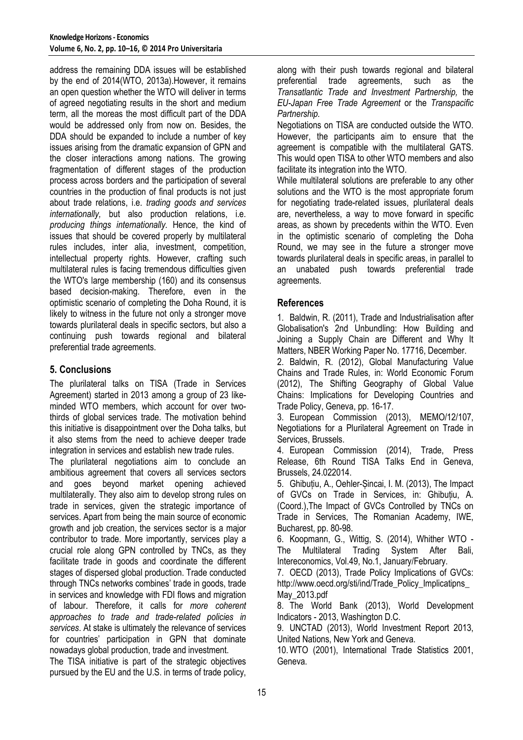address the remaining DDA issues will be established by the end of 2014(WTO, 2013a).However, it remains an open question whether the WTO will deliver in terms of agreed negotiating results in the short and medium term, all the moreas the most difficult part of the DDA would be addressed only from now on. Besides, the DDA should be expanded to include a number of key issues arising from the dramatic expansion of GPN and the closer interactions among nations. The growing fragmentation of different stages of the production process across borders and the participation of several countries in the production of final products is not just about trade relations, i.e. *trading goods and services internationally,* but also production relations, i.e. *producing things internationally.* Hence, the kind of issues that should be covered properly by multilateral rules includes, inter alia, investment, competition, intellectual property rights. However, crafting such multilateral rules is facing tremendous difficulties given the WTO's large membership (160) and its consensus based decision-making. Therefore, even in the optimistic scenario of completing the Doha Round, it is likely to witness in the future not only a stronger move towards plurilateral deals in specific sectors, but also a continuing push towards regional and bilateral preferential trade agreements.

# **5. Conclusions**

The plurilateral talks on TISA (Trade in Services Agreement) started in 2013 among a group of 23 likeminded WTO members, which account for over twothirds of global services trade. The motivation behind this initiative is disappointment over the Doha talks, but it also stems from the need to achieve deeper trade integration in services and establish new trade rules.

The plurilateral negotiations aim to conclude an ambitious agreement that covers all services sectors and goes beyond market opening achieved multilaterally. They also aim to develop strong rules on trade in services, given the strategic importance of services. Apart from being the main source of economic growth and job creation, the services sector is a major contributor to trade. More importantly, services play a crucial role along GPN controlled by TNCs, as they facilitate trade in goods and coordinate the different stages of dispersed global production. Trade conducted through TNCs networks combines' trade in goods, trade in services and knowledge with FDI flows and migration of labour. Therefore, it calls for *more coherent approaches to trade and trade-related policies in services*. At stake is ultimately the relevance of services for countries' participation in GPN that dominate nowadays global production, trade and investment.

The TISA initiative is part of the strategic objectives pursued by the EU and the U.S. in terms of trade policy, along with their push towards regional and bilateral preferential trade agreements, such as the *Transatlantic Trade and Investment Partnership,* the *EU-Japan Free Trade Agreement* or the *Transpacific Partnership.* 

Negotiations on TISA are conducted outside the WTO. However, the participants aim to ensure that the agreement is compatible with the multilateral GATS. This would open TISA to other WTO members and also facilitate its integration into the WTO.

While multilateral solutions are preferable to any other solutions and the WTO is the most appropriate forum for negotiating trade-related issues, plurilateral deals are, nevertheless, a way to move forward in specific areas, as shown by precedents within the WTO. Even in the optimistic scenario of completing the Doha Round, we may see in the future a stronger move towards plurilateral deals in specific areas, in parallel to an unabated push towards preferential trade agreements.

# **References**

1. Baldwin, R. (2011), Trade and Industrialisation after Globalisation's 2nd Unbundling: How Building and Joining a Supply Chain are Different and Why It Matters, NBER Working Paper No. 17716, December.

2. Baldwin, R. (2012), Global Manufacturing Value Chains and Trade Rules, in: World Economic Forum (2012), The Shifting Geography of Global Value Chains: Implications for Developing Countries and Trade Policy, Geneva, pp. 16-17.

3. European Commission (2013), MEMO/12/107, Negotiations for a Plurilateral Agreement on Trade in Services, Brussels.

4. European Commission (2014), Trade, Press Release, 6th Round TISA Talks End in Geneva, Brussels, 24.022014.

5. Ghibuțiu, A., Oehler-Șincai, I. M. (2013), The Impact of GVCs on Trade in Services, in: Ghibuțiu, A. (Coord.),The Impact of GVCs Controlled by TNCs on Trade in Services, The Romanian Academy, IWE, Bucharest, pp. 80-98.

6. Koopmann, G., Wittig, S. (2014), Whither WTO - The Multilateral Trading System After Bali, Intereconomics, Vol.49, No.1, January/February.

7. OECD (2013), Trade Policy Implications of GVCs: http://www.oecd.org/sti/ind/Trade\_Policy\_Implicatipns\_ May\_2013.pdf

8. The World Bank (2013), World Development Indicators - 2013, Washington D.C.

9. UNCTAD (2013), World Investment Report 2013, United Nations, New York and Geneva.

10.WTO (2001), International Trade Statistics 2001, Geneva.